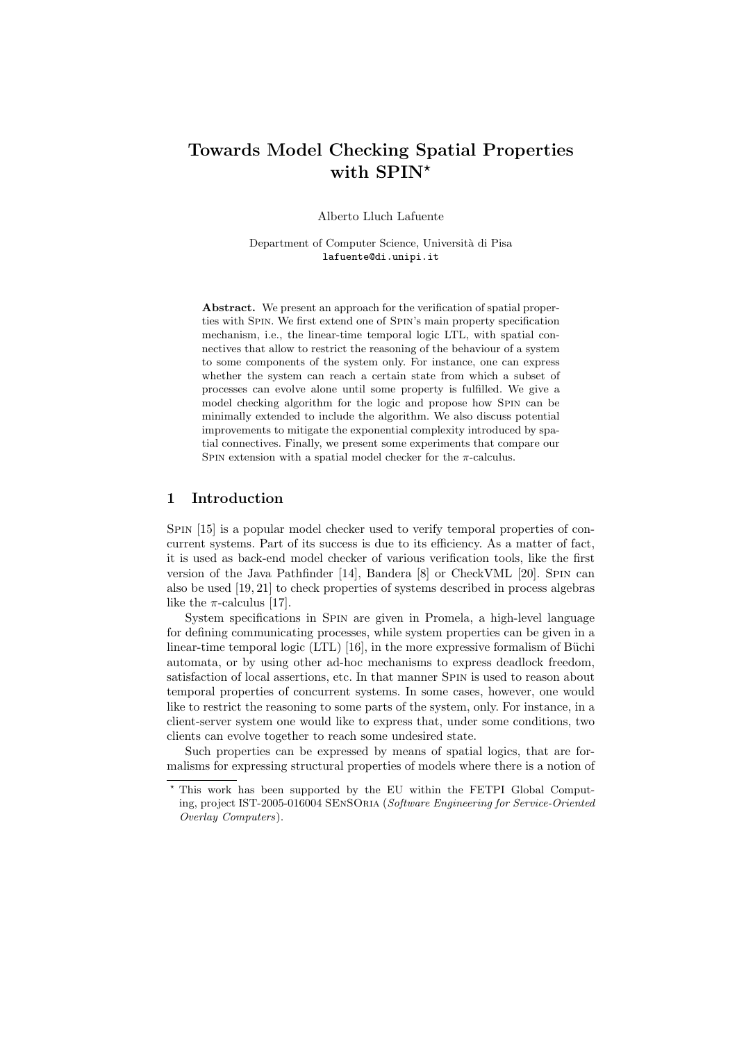# Towards Model Checking Spatial Properties with SPIN\*

Alberto Lluch Lafuente

Department of Computer Science, Universit`a di Pisa lafuente@di.unipi.it

Abstract. We present an approach for the verification of spatial properties with Spin. We first extend one of Spin's main property specification mechanism, i.e., the linear-time temporal logic LTL, with spatial connectives that allow to restrict the reasoning of the behaviour of a system to some components of the system only. For instance, one can express whether the system can reach a certain state from which a subset of processes can evolve alone until some property is fulfilled. We give a model checking algorithm for the logic and propose how Spin can be minimally extended to include the algorithm. We also discuss potential improvements to mitigate the exponential complexity introduced by spatial connectives. Finally, we present some experiments that compare our SPIN extension with a spatial model checker for the  $\pi$ -calculus.

# 1 Introduction

Spin [15] is a popular model checker used to verify temporal properties of concurrent systems. Part of its success is due to its efficiency. As a matter of fact, it is used as back-end model checker of various verification tools, like the first version of the Java Pathfinder [14], Bandera [8] or CheckVML [20]. Spin can also be used [19, 21] to check properties of systems described in process algebras like the  $\pi$ -calculus [17].

System specifications in Spin are given in Promela, a high-level language for defining communicating processes, while system properties can be given in a linear-time temporal logic  $(LTL)$  [16], in the more expressive formalism of Büchi automata, or by using other ad-hoc mechanisms to express deadlock freedom, satisfaction of local assertions, etc. In that manner Spin is used to reason about temporal properties of concurrent systems. In some cases, however, one would like to restrict the reasoning to some parts of the system, only. For instance, in a client-server system one would like to express that, under some conditions, two clients can evolve together to reach some undesired state.

Such properties can be expressed by means of spatial logics, that are formalisms for expressing structural properties of models where there is a notion of

<sup>?</sup> This work has been supported by the EU within the FETPI Global Computing, project IST-2005-016004 SEnSOria (Software Engineering for Service-Oriented Overlay Computers).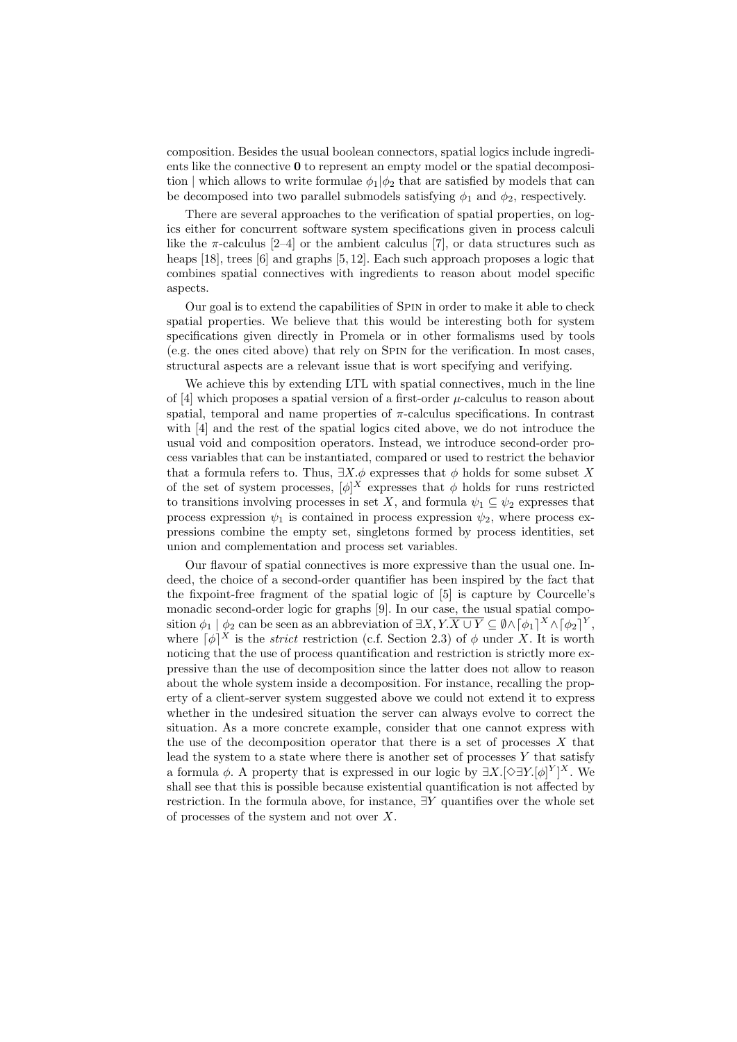composition. Besides the usual boolean connectors, spatial logics include ingredients like the connective 0 to represent an empty model or the spatial decomposition | which allows to write formulae  $\phi_1|\phi_2$  that are satisfied by models that can be decomposed into two parallel submodels satisfying  $\phi_1$  and  $\phi_2$ , respectively.

There are several approaches to the verification of spatial properties, on logics either for concurrent software system specifications given in process calculi like the  $\pi$ -calculus [2–4] or the ambient calculus [7], or data structures such as heaps [18], trees [6] and graphs [5, 12]. Each such approach proposes a logic that combines spatial connectives with ingredients to reason about model specific aspects.

Our goal is to extend the capabilities of Spin in order to make it able to check spatial properties. We believe that this would be interesting both for system specifications given directly in Promela or in other formalisms used by tools (e.g. the ones cited above) that rely on Spin for the verification. In most cases, structural aspects are a relevant issue that is wort specifying and verifying.

We achieve this by extending LTL with spatial connectives, much in the line of  $[4]$  which proposes a spatial version of a first-order  $\mu$ -calculus to reason about spatial, temporal and name properties of  $\pi$ -calculus specifications. In contrast with [4] and the rest of the spatial logics cited above, we do not introduce the usual void and composition operators. Instead, we introduce second-order process variables that can be instantiated, compared or used to restrict the behavior that a formula refers to. Thus,  $\exists X.\phi$  expresses that  $\phi$  holds for some subset X of the set of system processes,  $[\phi]^X$  expresses that  $\phi$  holds for runs restricted to transitions involving processes in set X, and formula  $\psi_1 \subseteq \psi_2$  expresses that process expression  $\psi_1$  is contained in process expression  $\psi_2$ , where process expressions combine the empty set, singletons formed by process identities, set union and complementation and process set variables.

Our flavour of spatial connectives is more expressive than the usual one. Indeed, the choice of a second-order quantifier has been inspired by the fact that the fixpoint-free fragment of the spatial logic of [5] is capture by Courcelle's monadic second-order logic for graphs [9]. In our case, the usual spatial composition  $\phi_1 | \phi_2$  can be seen as an abbreviation of  $\exists X, Y. \overline{X \cup Y} \subseteq \emptyset \wedge [\phi_1]^X \wedge [\phi_2]^Y$ , where  $\lbrack \phi \rbrack^X$  is the *strict* restriction (c.f. Section 2.3) of  $\phi$  under X. It is worth noticing that the use of process quantification and restriction is strictly more expressive than the use of decomposition since the latter does not allow to reason about the whole system inside a decomposition. For instance, recalling the property of a client-server system suggested above we could not extend it to express whether in the undesired situation the server can always evolve to correct the situation. As a more concrete example, consider that one cannot express with the use of the decomposition operator that there is a set of processes  $X$  that lead the system to a state where there is another set of processes  $Y$  that satisfy a formula  $\phi$ . A property that is expressed in our logic by  $\exists X. [\Diamond \exists Y. [\phi]^Y]^X$ . We shall see that this is possible because existential quantification is not affected by restriction. In the formula above, for instance, ∃Y quantifies over the whole set of processes of the system and not over  $X$ .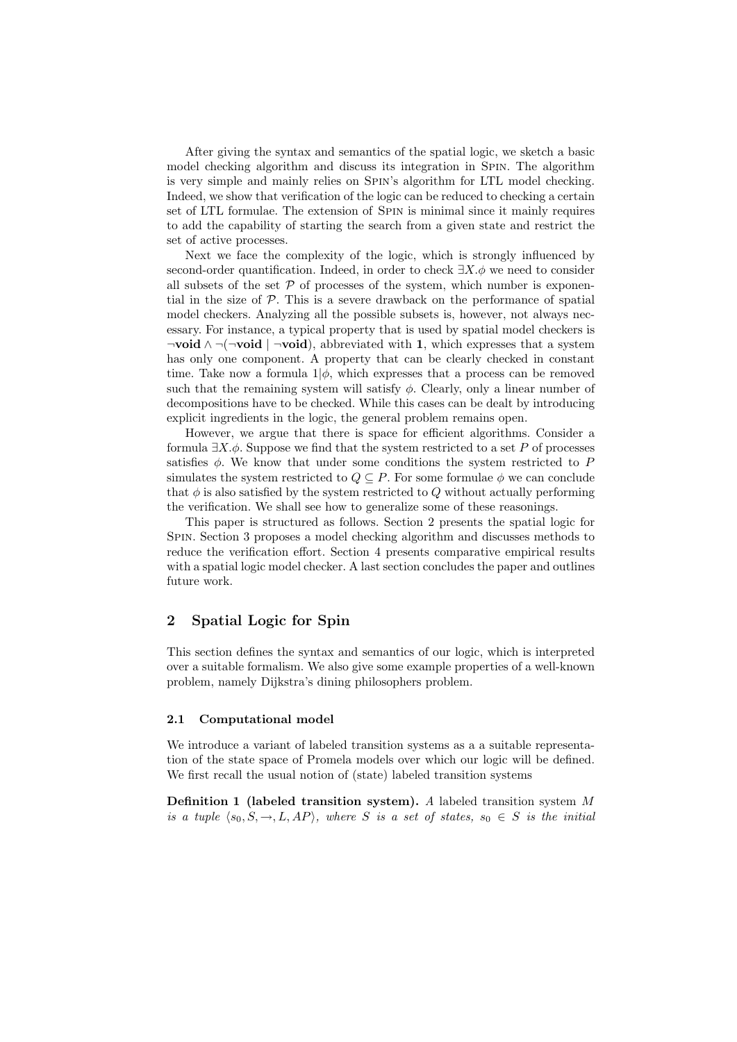After giving the syntax and semantics of the spatial logic, we sketch a basic model checking algorithm and discuss its integration in Spin. The algorithm is very simple and mainly relies on Spin's algorithm for LTL model checking. Indeed, we show that verification of the logic can be reduced to checking a certain set of LTL formulae. The extension of Spin is minimal since it mainly requires to add the capability of starting the search from a given state and restrict the set of active processes.

Next we face the complexity of the logic, which is strongly influenced by second-order quantification. Indeed, in order to check  $\exists X.\phi$  we need to consider all subsets of the set  $P$  of processes of the system, which number is exponential in the size of  $P$ . This is a severe drawback on the performance of spatial model checkers. Analyzing all the possible subsets is, however, not always necessary. For instance, a typical property that is used by spatial model checkers is  $\neg \text{void } \land \neg (\neg \text{void } | \neg \text{void})$ , abbreviated with 1, which expresses that a system has only one component. A property that can be clearly checked in constant time. Take now a formula  $1/\phi$ , which expresses that a process can be removed such that the remaining system will satisfy  $\phi$ . Clearly, only a linear number of decompositions have to be checked. While this cases can be dealt by introducing explicit ingredients in the logic, the general problem remains open.

However, we argue that there is space for efficient algorithms. Consider a formula  $\exists X.\phi$ . Suppose we find that the system restricted to a set P of processes satisfies  $\phi$ . We know that under some conditions the system restricted to P simulates the system restricted to  $Q \subseteq P$ . For some formulae  $\phi$  we can conclude that  $\phi$  is also satisfied by the system restricted to Q without actually performing the verification. We shall see how to generalize some of these reasonings.

This paper is structured as follows. Section 2 presents the spatial logic for Spin. Section 3 proposes a model checking algorithm and discusses methods to reduce the verification effort. Section 4 presents comparative empirical results with a spatial logic model checker. A last section concludes the paper and outlines future work.

## 2 Spatial Logic for Spin

This section defines the syntax and semantics of our logic, which is interpreted over a suitable formalism. We also give some example properties of a well-known problem, namely Dijkstra's dining philosophers problem.

## 2.1 Computational model

We introduce a variant of labeled transition systems as a a suitable representation of the state space of Promela models over which our logic will be defined. We first recall the usual notion of (state) labeled transition systems

Definition 1 (labeled transition system). A labeled transition system M is a tuple  $\langle s_0, S, \to, L, AP \rangle$ , where S is a set of states,  $s_0 \in S$  is the initial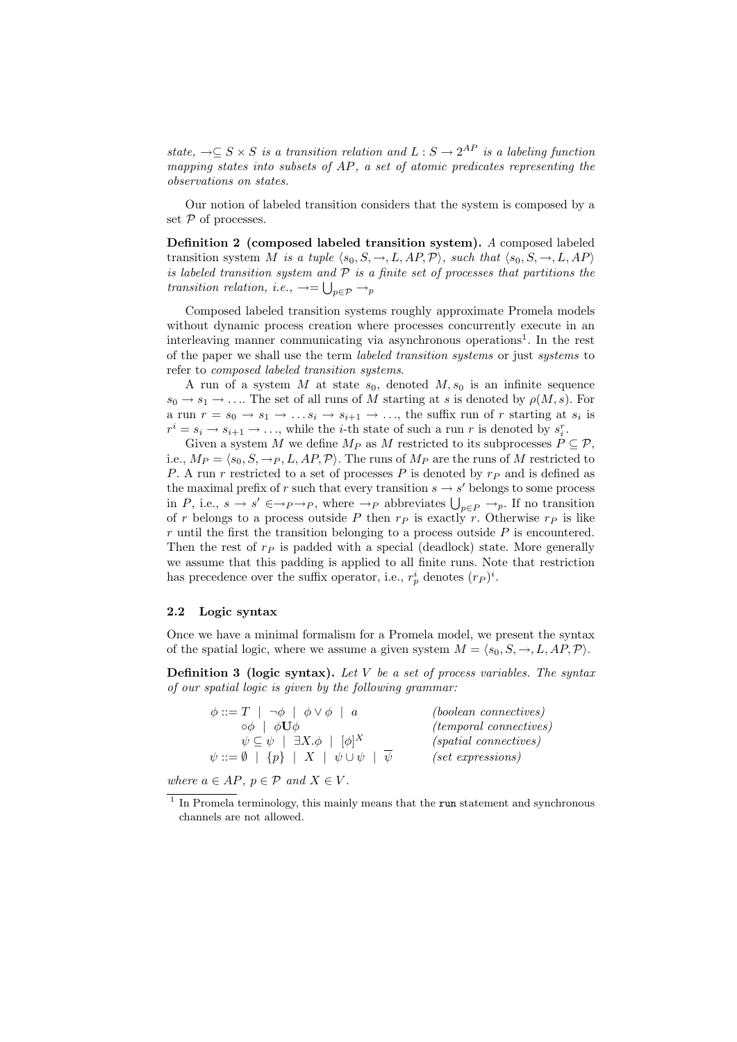state,  $\rightarrow \subseteq S \times S$  is a transition relation and  $L : S \rightarrow 2^{AP}$  is a labeling function mapping states into subsets of AP, a set of atomic predicates representing the observations on states.

Our notion of labeled transition considers that the system is composed by a set  $P$  of processes.

Definition 2 (composed labeled transition system). A composed labeled transition system M is a tuple  $\langle s_0, S, \to, L, AP, P \rangle$ , such that  $\langle s_0, S, \to, L, AP \rangle$ is labeled transition system and  $P$  is a finite set of processes that partitions the transition relation, i.e.,  $\rightarrow = \bigcup_{p \in \mathcal{P}} \rightarrow_p$ 

Composed labeled transition systems roughly approximate Promela models without dynamic process creation where processes concurrently execute in an interleaving manner communicating via asynchronous operations<sup>1</sup>. In the rest of the paper we shall use the term labeled transition systems or just systems to refer to composed labeled transition systems.

A run of a system M at state  $s_0$ , denoted  $M$ ,  $s_0$  is an infinite sequence  $s_0 \to s_1 \to \ldots$  The set of all runs of M starting at s is denoted by  $\rho(M, s)$ . For a run  $r = s_0 \rightarrow s_1 \rightarrow \dots s_i \rightarrow s_{i+1} \rightarrow \dots$ , the suffix run of r starting at  $s_i$  is  $r^i = s_i \rightarrow s_{i+1} \rightarrow \ldots$ , while the *i*-th state of such a run *r* is denoted by  $s_i^r$ .

Given a system M we define  $M_P$  as M restricted to its subprocesses  $P \subseteq \mathcal{P}$ , i.e.,  $M_P = \langle s_0, S, \rightarrow_P, L, AP, P \rangle$ . The runs of  $M_P$  are the runs of M restricted to P. A run r restricted to a set of processes  $P$  is denoted by  $r_P$  and is defined as the maximal prefix of r such that every transition  $s \to s'$  belongs to some process in P, i.e.,  $s \to s' \in \to_{P} \to_{P}$ , where  $\to_{P}$  abbreviates  $\bigcup_{p \in P} \to_{p}$ . If no transition of r belongs to a process outside P then  $r_P$  is exactly r. Otherwise  $r_P$  is like  $r$  until the first the transition belonging to a process outside  $P$  is encountered. Then the rest of  $r_P$  is padded with a special (deadlock) state. More generally we assume that this padding is applied to all finite runs. Note that restriction has precedence over the suffix operator, i.e.,  $r_p^i$  denotes  $(r_P)^i$ .

## 2.2 Logic syntax

Once we have a minimal formalism for a Promela model, we present the syntax of the spatial logic, where we assume a given system  $M = \langle s_0, S, \to, L, AP, P \rangle$ .

**Definition 3 (logic syntax).** Let V be a set of process variables. The syntax of our spatial logic is given by the following grammar:

| $\phi ::= T \mid \neg \phi \mid \phi \vee \phi \mid a$                          | <i>(boolean connectives)</i>  |
|---------------------------------------------------------------------------------|-------------------------------|
| $\circ \phi$   $\phi \mathbf{U} \phi$                                           | <i>(temporal connectives)</i> |
| $\psi \subseteq \psi \mid \exists X.\phi \mid [\phi]^{X}$                       | $(spatial\ connectives)$      |
| $\psi ::= \emptyset \mid \{p\} \mid X \mid \psi \cup \psi \mid \overline{\psi}$ | (set~expressions)             |
|                                                                                 |                               |

where  $a \in AP$ ,  $p \in \mathcal{P}$  and  $X \in V$ .

<sup>&</sup>lt;sup>1</sup> In Promela terminology, this mainly means that the run statement and synchronous channels are not allowed.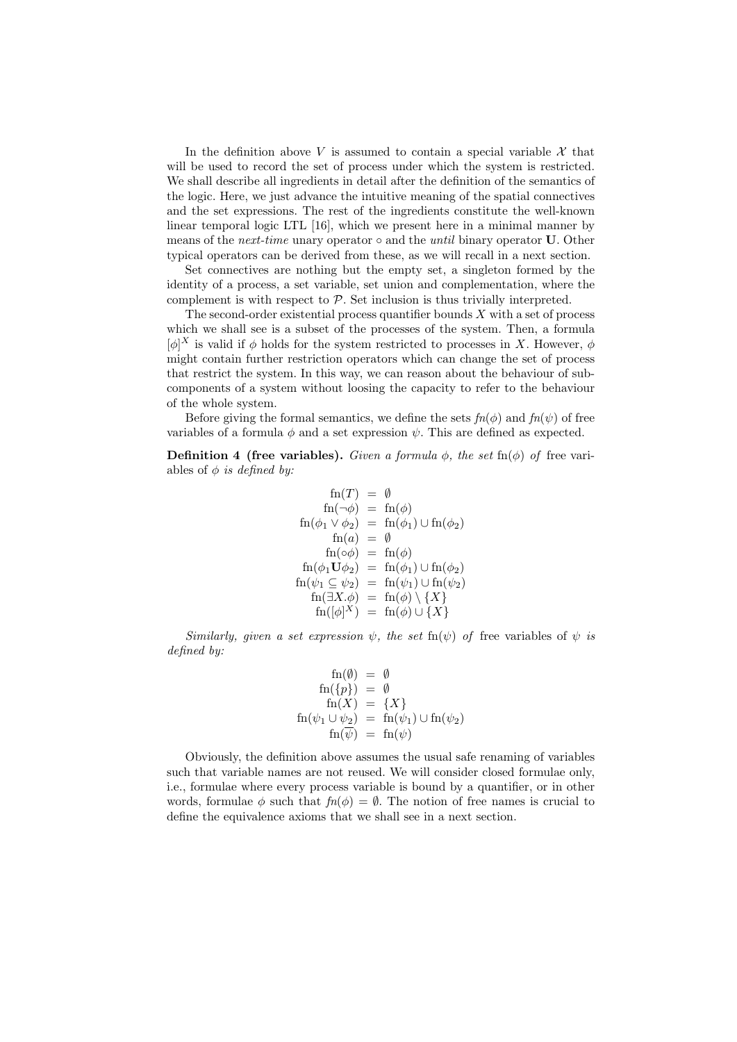In the definition above V is assumed to contain a special variable  $\mathcal X$  that will be used to record the set of process under which the system is restricted. We shall describe all ingredients in detail after the definition of the semantics of the logic. Here, we just advance the intuitive meaning of the spatial connectives and the set expressions. The rest of the ingredients constitute the well-known linear temporal logic LTL [16], which we present here in a minimal manner by means of the *next-time* unary operator  $\circ$  and the *until* binary operator **U**. Other typical operators can be derived from these, as we will recall in a next section.

Set connectives are nothing but the empty set, a singleton formed by the identity of a process, a set variable, set union and complementation, where the complement is with respect to  $P$ . Set inclusion is thus trivially interpreted.

The second-order existential process quantifier bounds  $X$  with a set of process which we shall see is a subset of the processes of the system. Then, a formula  $[\phi]^X$  is valid if  $\phi$  holds for the system restricted to processes in X. However,  $\phi$ might contain further restriction operators which can change the set of process that restrict the system. In this way, we can reason about the behaviour of subcomponents of a system without loosing the capacity to refer to the behaviour of the whole system.

Before giving the formal semantics, we define the sets  $fn(\phi)$  and  $fn(\psi)$  of free variables of a formula  $\phi$  and a set expression  $\psi$ . This are defined as expected.

**Definition 4 (free variables).** Given a formula  $\phi$ , the set fn( $\phi$ ) of free variables of  $\phi$  is defined by:

$$
fn(T) = \emptyset
$$
  
\n
$$
fn(\neg \phi) = fn(\phi)
$$
  
\n
$$
fn(\phi_1 \lor \phi_2) = fn(\phi_1) \cup fn(\phi_2)
$$
  
\n
$$
fn(a) = \emptyset
$$
  
\n
$$
fn(\phi_1 \cup \phi_2) = fn(\phi)
$$
  
\n
$$
fn(\phi_1 \cup \phi_2) = fn(\phi_1) \cup fn(\phi_2)
$$
  
\n
$$
fn(\psi_1 \subseteq \psi_2) = fn(\psi_1) \cup fn(\psi_2)
$$
  
\n
$$
fn(\exists X.\phi) = fn(\phi) \setminus \{X\}
$$
  
\n
$$
fn([\phi]^{X}) = fn(\phi) \cup \{X\}
$$

Similarly, given a set expression  $\psi$ , the set fn( $\psi$ ) of free variables of  $\psi$  is defined by:

$$
fn(\emptyset) = \emptyset
$$
  
\n
$$
fn({p}) = \emptyset
$$
  
\n
$$
fn(X) = {X}
$$
  
\n
$$
fn(\psi_1 \cup \psi_2) = fn(\psi_1) \cup fn(\psi_2)
$$
  
\n
$$
fn(\overline{\psi}) = fn(\psi)
$$

Obviously, the definition above assumes the usual safe renaming of variables such that variable names are not reused. We will consider closed formulae only, i.e., formulae where every process variable is bound by a quantifier, or in other words, formulae  $\phi$  such that  $f_n(\phi) = \emptyset$ . The notion of free names is crucial to define the equivalence axioms that we shall see in a next section.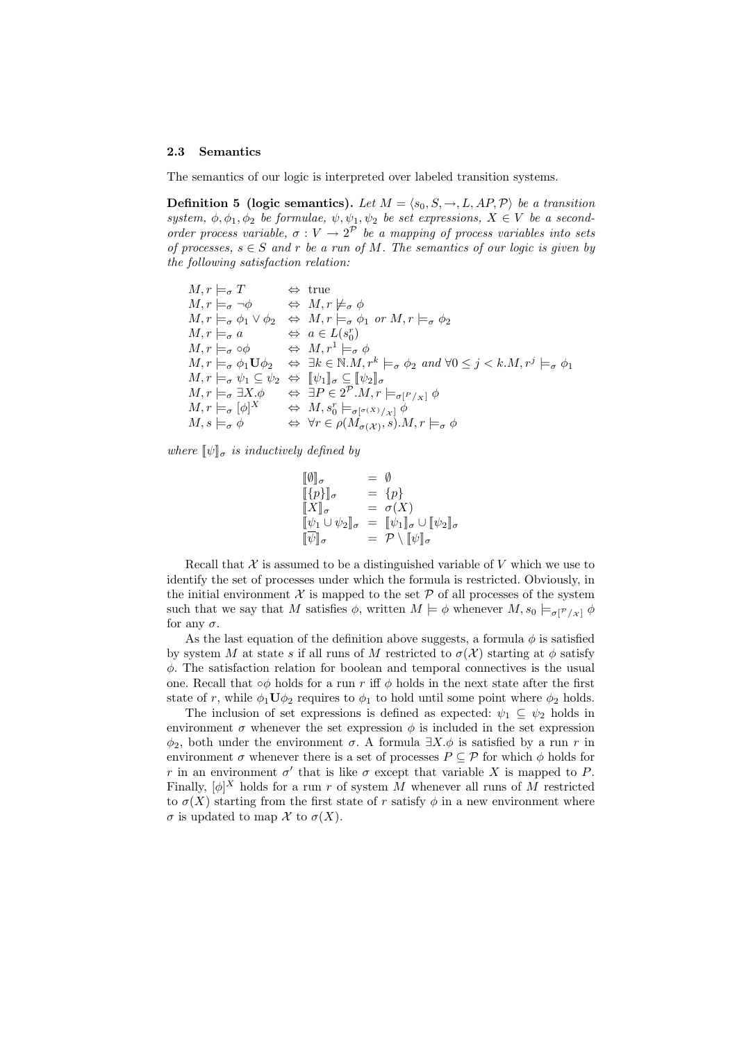#### 2.3 Semantics

The semantics of our logic is interpreted over labeled transition systems.

**Definition 5 (logic semantics).** Let  $M = \langle s_0, S, \to, L, AP, P \rangle$  be a transition system,  $\phi$ ,  $\phi_1$ ,  $\phi_2$  be formulae,  $\psi$ ,  $\psi_1$ ,  $\psi_2$  be set expressions,  $X \in V$  be a secondorder process variable,  $\sigma : V \to 2^{\mathcal{P}}$  be a mapping of process variables into sets of processes,  $s \in S$  and r be a run of M. The semantics of our logic is given by the following satisfaction relation:

| $M, r \models_{\sigma} T$                                                                                                                             | $\Leftrightarrow$ true                                                                                                                                                                           |
|-------------------------------------------------------------------------------------------------------------------------------------------------------|--------------------------------------------------------------------------------------------------------------------------------------------------------------------------------------------------|
| $M, r \models_{\sigma} \neg \phi \qquad \Leftrightarrow M, r \not\models_{\sigma} \phi$                                                               |                                                                                                                                                                                                  |
| $M, r \models_{\sigma} \phi_1 \vee \phi_2$                                                                                                            | $\Leftrightarrow M, r \models_{\sigma} \phi_1 \text{ or } M, r \models_{\sigma} \phi_2$                                                                                                          |
| $M, r \models_{\sigma} a$                                                                                                                             | $\Leftrightarrow a \in L(s_0^r)$                                                                                                                                                                 |
| $M, r \models_{\sigma} \circ \phi$                                                                                                                    | $\Leftrightarrow M, r^1 \models_{\sigma} \phi$                                                                                                                                                   |
|                                                                                                                                                       | $M, r \models_{\sigma} \phi_1 \mathbf{U} \phi_2 \quad \Leftrightarrow \exists k \in \mathbb{N}. M, r^k \models_{\sigma} \phi_2 \text{ and } \forall 0 \leq j < k.M, r^j \models_{\sigma} \phi_1$ |
| $M, r \models_{\sigma} \psi_1 \subseteq \psi_2 \Leftrightarrow \llbracket \psi_1 \rrbracket_{\sigma} \subseteq \llbracket \psi_2 \rrbracket_{\sigma}$ |                                                                                                                                                                                                  |
| $M, r \models_{\sigma} \exists X.\phi$                                                                                                                | $\Leftrightarrow \exists P \in 2^{\mathcal{P}}. M, r \models_{\sigma[P/X]} \phi$                                                                                                                 |
| $M,r \models_{\sigma} [\phi]^{X}$                                                                                                                     | $\Leftrightarrow M, s_0^r \models_{\sigma[\sigma(X)/X]} \phi$                                                                                                                                    |
| $M, s \models_{\sigma} \phi$                                                                                                                          | $\Leftrightarrow \forall r \in \rho(M_{\sigma(\mathcal{X})}, s).M, r \models_{\sigma} \phi$                                                                                                      |

where  $\llbracket \psi \rrbracket_{\sigma}$  is inductively defined by

$$
\begin{array}{lll}\n[\![\emptyset]\!]_{\sigma} & = & \emptyset \\
[\![\{p\}]\!]_{\sigma} & = & \{p\} \\
[\![X]\!]_{\sigma} & = & \sigma(X) \\
[\![\psi_1 \cup \psi_2]\!]_{\sigma} & = & \[\![\psi_1]\!]_{\sigma} \cup [\![\psi_2]\!]_{\sigma} \\
[\![\psi]\!]_{\sigma} & = & \mathcal{P} \setminus [\![\psi]\!]_{\sigma}\n\end{array}
$$

Recall that  $\mathcal X$  is assumed to be a distinguished variable of V which we use to identify the set of processes under which the formula is restricted. Obviously, in the initial environment  $\mathcal X$  is mapped to the set  $\mathcal P$  of all processes of the system such that we say that M satisfies  $\phi$ , written  $M \models \phi$  whenever  $M, s_0 \models_{\sigma[\mathcal{P}/\chi]} \phi$ for any  $\sigma$ .

As the last equation of the definition above suggests, a formula  $\phi$  is satisfied by system M at state s if all runs of M restricted to  $\sigma(\mathcal{X})$  starting at  $\phi$  satisfy  $\phi$ . The satisfaction relation for boolean and temporal connectives is the usual one. Recall that  $\circ \phi$  holds for a run r iff  $\phi$  holds in the next state after the first state of r, while  $\phi_1 \mathbf{U} \phi_2$  requires to  $\phi_1$  to hold until some point where  $\phi_2$  holds.

The inclusion of set expressions is defined as expected:  $\psi_1 \subseteq \psi_2$  holds in environment  $\sigma$  whenever the set expression  $\phi$  is included in the set expression  $\phi_2$ , both under the environment  $\sigma$ . A formula  $\exists X.\phi$  is satisfied by a run r in environment  $\sigma$  whenever there is a set of processes  $P \subseteq \mathcal{P}$  for which  $\phi$  holds for r in an environment  $\sigma'$  that is like  $\sigma$  except that variable X is mapped to P. Finally,  $[\phi]^X$  holds for a run r of system M whenever all runs of M restricted to  $\sigma(X)$  starting from the first state of r satisfy  $\phi$  in a new environment where  $\sigma$  is updated to map X to  $\sigma(X)$ .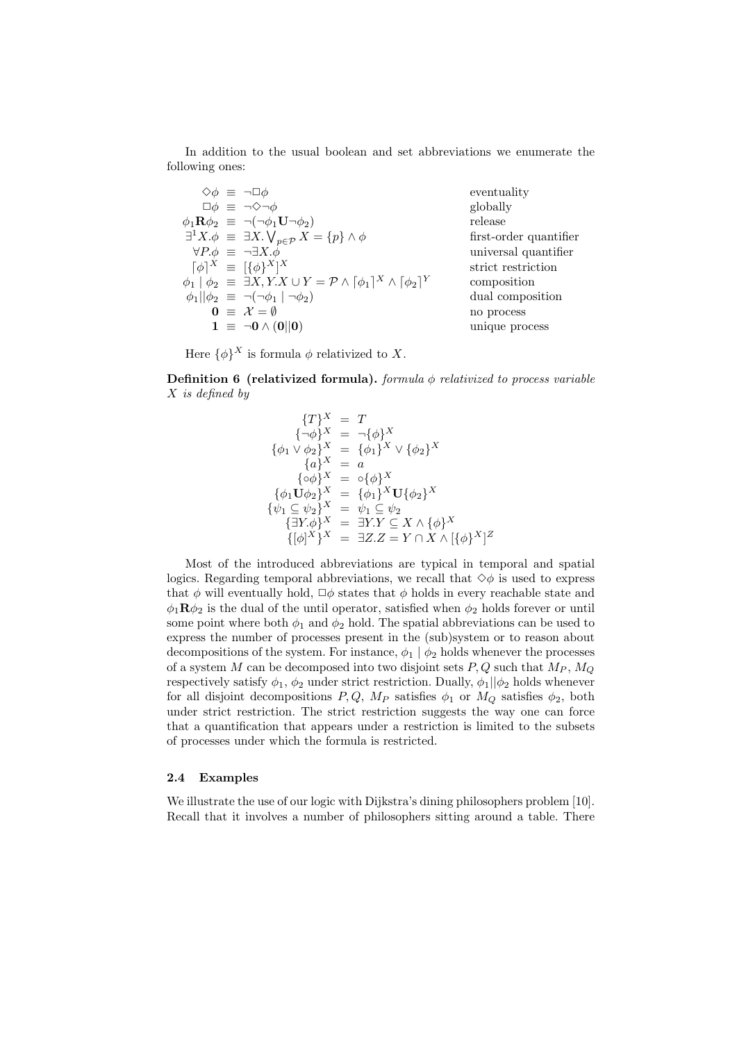In addition to the usual boolean and set abbreviations we enumerate the following ones:

|  | $\Diamond \phi \equiv \neg \Box \phi$                                                            | eventuality            |
|--|--------------------------------------------------------------------------------------------------|------------------------|
|  | $\Box \phi \equiv \neg \Diamond \neg \phi$                                                       | globally               |
|  | $\phi_1 \mathbf{R} \phi_2 \equiv \neg(\neg \phi_1 \mathbf{U} \neg \phi_2)$                       | release                |
|  | $\exists^1 X.\phi \equiv \exists X.\bigvee_{p\in\mathcal{P}} X = \{p\} \wedge \phi$              | first-order quantifier |
|  | $\forall P.\phi \equiv \neg \exists X.\phi$                                                      | universal quantifier   |
|  | $\lceil \phi \rceil^X \equiv \lceil \{\phi\}^X \rceil^X$                                         | strict restriction     |
|  | $\phi_1   \phi_2 \equiv \exists X, Y.X \cup Y = \mathcal{P} \wedge [\phi_1]^X \wedge [\phi_2]^Y$ | composition            |
|  | $\phi_1    \phi_2 \equiv \neg(\neg \phi_1   \neg \phi_2)$                                        | dual composition       |
|  | $0 \equiv \mathcal{X} = \emptyset$                                                               | no process             |
|  | $1 \equiv \neg 0 \wedge (0  0)$                                                                  | unique process         |
|  |                                                                                                  |                        |

Here  $\{\phi\}^X$  is formula  $\phi$  relativized to X.

Definition 6 (relativized formula). formula  $\phi$  relativized to process variable X is defined by

$$
\begin{aligned}\n\{T\}^X &= T \\
\{\neg \phi\}^X &= \neg \{\phi\}^X \\
\{\phi_1 \lor \phi_2\}^X &= \{\phi_1\}^X \lor \{\phi_2\}^X \\
\{a\}^X &= a \\
\{\phi_0\}^X &= \circ \{\phi\}^X \\
\{\phi_1 \Box \phi_2\}^X &= \{\phi_1\}^X \Box \{\phi_2\}^X \\
\{\psi_1 \subseteq \psi_2\}^X &= \psi_1 \subseteq \psi_2 \\
\{\exists Y. \phi\}^X &= \exists Y. Y \subseteq X \land \{\phi\}^X \\
\{\{\phi\}^X\}^X &= \exists Z. Z = Y \cap X \land \{\phi\}^X\n\end{aligned}
$$

Most of the introduced abbreviations are typical in temporal and spatial logics. Regarding temporal abbreviations, we recall that  $\diamond \phi$  is used to express that  $\phi$  will eventually hold,  $\Box \phi$  states that  $\phi$  holds in every reachable state and  $\phi_1 \mathbf{R} \phi_2$  is the dual of the until operator, satisfied when  $\phi_2$  holds forever or until some point where both  $\phi_1$  and  $\phi_2$  hold. The spatial abbreviations can be used to express the number of processes present in the (sub)system or to reason about decompositions of the system. For instance,  $\phi_1 | \phi_2$  holds whenever the processes of a system M can be decomposed into two disjoint sets  $P, Q$  such that  $M_P, M_Q$ respectively satisfy  $\phi_1$ ,  $\phi_2$  under strict restriction. Dually,  $\phi_1 || \phi_2$  holds whenever for all disjoint decompositions P, Q,  $M_P$  satisfies  $\phi_1$  or  $M_Q$  satisfies  $\phi_2$ , both under strict restriction. The strict restriction suggests the way one can force that a quantification that appears under a restriction is limited to the subsets of processes under which the formula is restricted.

## 2.4 Examples

We illustrate the use of our logic with Dijkstra's dining philosophers problem [10]. Recall that it involves a number of philosophers sitting around a table. There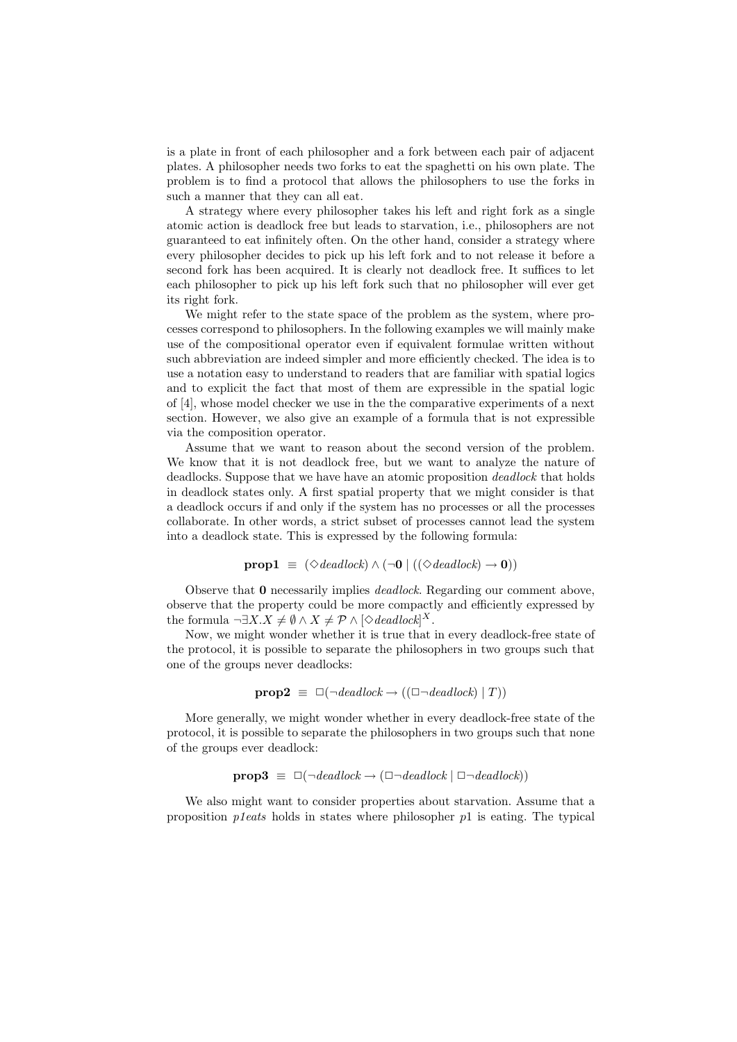is a plate in front of each philosopher and a fork between each pair of adjacent plates. A philosopher needs two forks to eat the spaghetti on his own plate. The problem is to find a protocol that allows the philosophers to use the forks in such a manner that they can all eat.

A strategy where every philosopher takes his left and right fork as a single atomic action is deadlock free but leads to starvation, i.e., philosophers are not guaranteed to eat infinitely often. On the other hand, consider a strategy where every philosopher decides to pick up his left fork and to not release it before a second fork has been acquired. It is clearly not deadlock free. It suffices to let each philosopher to pick up his left fork such that no philosopher will ever get its right fork.

We might refer to the state space of the problem as the system, where processes correspond to philosophers. In the following examples we will mainly make use of the compositional operator even if equivalent formulae written without such abbreviation are indeed simpler and more efficiently checked. The idea is to use a notation easy to understand to readers that are familiar with spatial logics and to explicit the fact that most of them are expressible in the spatial logic of [4], whose model checker we use in the the comparative experiments of a next section. However, we also give an example of a formula that is not expressible via the composition operator.

Assume that we want to reason about the second version of the problem. We know that it is not deadlock free, but we want to analyze the nature of deadlocks. Suppose that we have have an atomic proposition *deadlock* that holds in deadlock states only. A first spatial property that we might consider is that a deadlock occurs if and only if the system has no processes or all the processes collaborate. In other words, a strict subset of processes cannot lead the system into a deadlock state. This is expressed by the following formula:

$$
prop1 \equiv (\Diamond deadlock) \land (\neg 0 \mid ((\Diamond deadlock) \rightarrow 0))
$$

Observe that 0 necessarily implies *deadlock*. Regarding our comment above, observe that the property could be more compactly and efficiently expressed by the formula  $\neg \exists X.X \neq \emptyset \land X \neq \mathcal{P} \land [\Diamond deadlock]^X$ .

Now, we might wonder whether it is true that in every deadlock-free state of the protocol, it is possible to separate the philosophers in two groups such that one of the groups never deadlocks:

$$
prop2 \equiv \Box(\neg deadlock \rightarrow ((\Box \neg deadlock) \mid T))
$$

More generally, we might wonder whether in every deadlock-free state of the protocol, it is possible to separate the philosophers in two groups such that none of the groups ever deadlock:

 $prop3 \equiv \Box(\neg deadlock \rightarrow (\Box \neg deadlock \mid \Box \neg deadlock))$ 

We also might want to consider properties about starvation. Assume that a proposition *p1eats* holds in states where philosopher  $p1$  is eating. The typical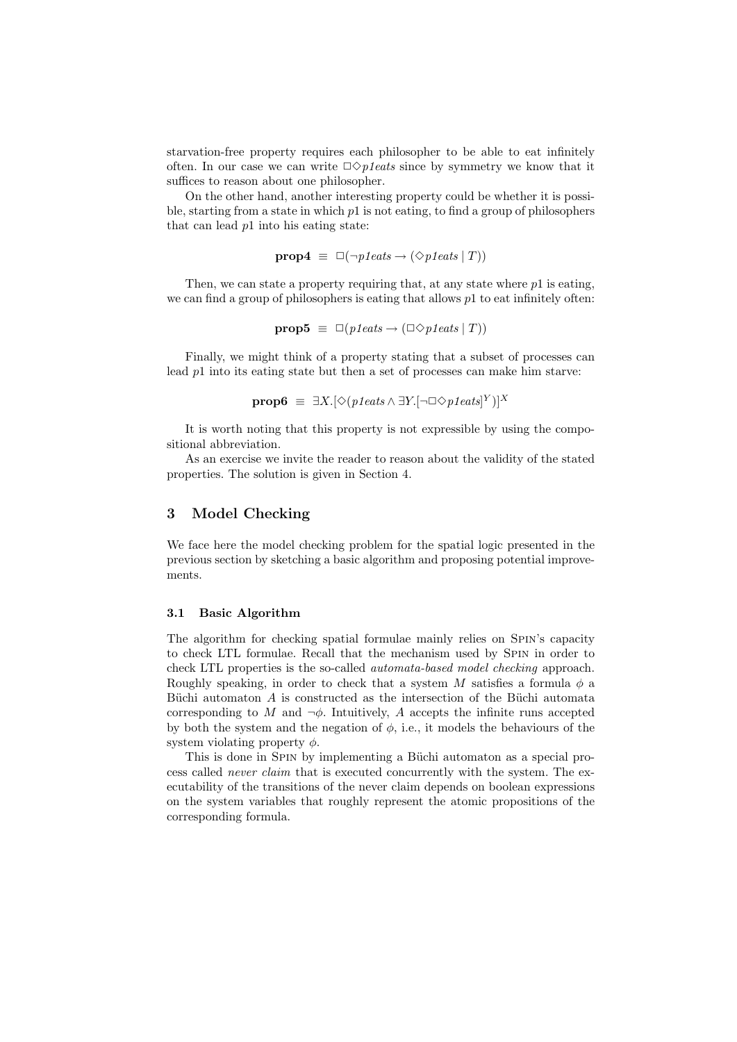starvation-free property requires each philosopher to be able to eat infinitely often. In our case we can write  $\Box \Diamond$  p1eats since by symmetry we know that it suffices to reason about one philosopher.

On the other hand, another interesting property could be whether it is possible, starting from a state in which  $p1$  is not eating, to find a group of philosophers that can lead p1 into his eating state:

$$
prop4 \equiv \Box(\neg \text{pleats} \rightarrow (\Diamond \text{pleats} \mid T))
$$

Then, we can state a property requiring that, at any state where  $p1$  is eating, we can find a group of philosophers is eating that allows  $p1$  to eat infinitely often:

$$
prop5 \equiv \Box(p\text{1eats} \rightarrow (\Box \Diamond \text{p1eats} \mid T))
$$

Finally, we might think of a property stating that a subset of processes can lead p1 into its eating state but then a set of processes can make him starve:

$$
\mathbf{prop6} \ \equiv \ \exists X. [\Diamond (p\ \textit{leads} \land \exists Y. [\neg \Box \Diamond \textit{p\ \textit{leads}}]^Y)]^X
$$

It is worth noting that this property is not expressible by using the compositional abbreviation.

As an exercise we invite the reader to reason about the validity of the stated properties. The solution is given in Section 4.

## 3 Model Checking

We face here the model checking problem for the spatial logic presented in the previous section by sketching a basic algorithm and proposing potential improvements.

#### 3.1 Basic Algorithm

The algorithm for checking spatial formulae mainly relies on Spin's capacity to check LTL formulae. Recall that the mechanism used by Spin in order to check LTL properties is the so-called automata-based model checking approach. Roughly speaking, in order to check that a system M satisfies a formula  $\phi$  a Büchi automaton  $A$  is constructed as the intersection of the Büchi automata corresponding to M and  $\neg \phi$ . Intuitively, A accepts the infinite runs accepted by both the system and the negation of  $\phi$ , i.e., it models the behaviours of the system violating property  $\phi$ .

This is done in SPIN by implementing a Büchi automaton as a special process called never claim that is executed concurrently with the system. The executability of the transitions of the never claim depends on boolean expressions on the system variables that roughly represent the atomic propositions of the corresponding formula.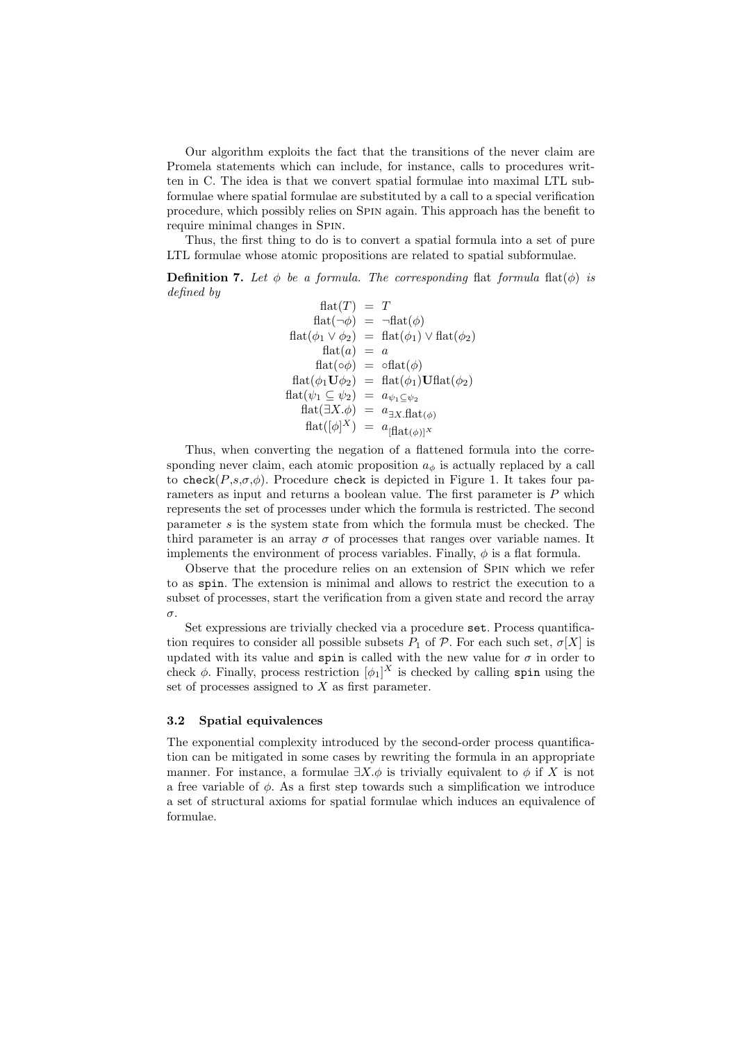Our algorithm exploits the fact that the transitions of the never claim are Promela statements which can include, for instance, calls to procedures written in C. The idea is that we convert spatial formulae into maximal LTL subformulae where spatial formulae are substituted by a call to a special verification procedure, which possibly relies on Spin again. This approach has the benefit to require minimal changes in Spin.

Thus, the first thing to do is to convert a spatial formula into a set of pure LTL formulae whose atomic propositions are related to spatial subformulae.

**Definition 7.** Let  $\phi$  be a formula. The corresponding flat formula flat( $\phi$ ) is defined by

$$
flat(\mathcal{T}) = \mathcal{T}
$$
  
\n
$$
flat(\neg \phi) = \neg flat(\phi)
$$
  
\n
$$
flat(\phi_1 \lor \phi_2) = flat(\phi_1) \lor flat(\phi_2)
$$
  
\n
$$
flat(a) = a
$$
  
\n
$$
flat(\phi_1 \cup \phi_2) = flat(\phi_1) \cup flat(\phi_2)
$$
  
\n
$$
flat(\psi_1 \subseteq \psi_2) = a_{\psi_1 \subseteq \psi_2}
$$
  
\n
$$
flat(\exists X.\phi) = a_{\exists X}.flat(\phi)
$$
  
\n
$$
flat([\phi]^X) = a_{[flat(\phi)]^X}
$$

Thus, when converting the negation of a flattened formula into the corresponding never claim, each atomic proposition  $a_{\phi}$  is actually replaced by a call to check( $P$ , $s$ , $\sigma$ , $\phi$ ). Procedure check is depicted in Figure 1. It takes four parameters as input and returns a boolean value. The first parameter is  $P$  which represents the set of processes under which the formula is restricted. The second parameter s is the system state from which the formula must be checked. The third parameter is an array  $\sigma$  of processes that ranges over variable names. It implements the environment of process variables. Finally,  $\phi$  is a flat formula.

Observe that the procedure relies on an extension of Spin which we refer to as spin. The extension is minimal and allows to restrict the execution to a subset of processes, start the verification from a given state and record the array σ.

Set expressions are trivially checked via a procedure set. Process quantification requires to consider all possible subsets  $P_1$  of  $P$ . For each such set,  $\sigma[X]$  is updated with its value and spin is called with the new value for  $\sigma$  in order to check  $\phi$ . Finally, process restriction  $[\phi_1]^X$  is checked by calling spin using the set of processes assigned to  $X$  as first parameter.

#### 3.2 Spatial equivalences

The exponential complexity introduced by the second-order process quantification can be mitigated in some cases by rewriting the formula in an appropriate manner. For instance, a formulae  $\exists X.\phi$  is trivially equivalent to  $\phi$  if X is not a free variable of  $\phi$ . As a first step towards such a simplification we introduce a set of structural axioms for spatial formulae which induces an equivalence of formulae.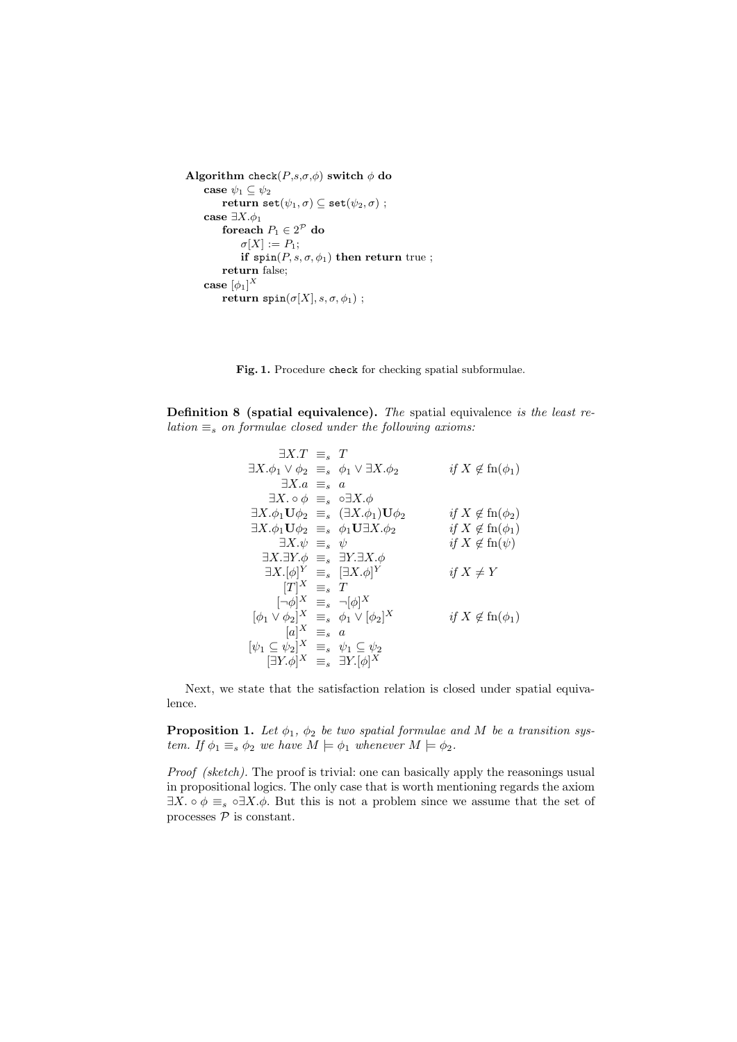```
Algorithm check(P,s,\sigma,\phi) switch \phi do
     case \psi_1 \subseteq \psi_2return \texttt{set}(\psi_1, \sigma) \subseteq \texttt{set}(\psi_2, \sigma);
     case \exists X.\phi_1foreach P_1 \in 2^{\mathcal{P}} do
                 \sigma[X] := P_1;if spin(P, s, \sigma, \phi_1) then return true;
           return false;
      \textbf{case} \ [\phi_1]^Xreturn \text{spin}(\sigma[X], s, \sigma, \phi_1);
```
Fig. 1. Procedure check for checking spatial subformulae.

Definition 8 (spatial equivalence). The spatial equivalence is the least relation  $\equiv_s$  on formulae closed under the following axioms:

$$
\exists X. T \equiv_s T
$$
  
\n
$$
\exists X. \phi_1 \lor \phi_2 \equiv_s \phi_1 \lor \exists X. \phi_2 \qquad \text{if } X \notin \text{fn}(\phi_1)
$$
  
\n
$$
\exists X. a \equiv_s a
$$
  
\n
$$
\exists X. \circ \phi \equiv_s \circ \exists X. \phi
$$
  
\n
$$
\exists X. \phi_1 \mathbf{U} \phi_2 \equiv_s (\exists X. \phi_1) \mathbf{U} \phi_2 \qquad \text{if } X \notin \text{fn}(\phi_2)
$$
  
\n
$$
\exists X. \phi_1 \mathbf{U} \phi_2 \equiv_s \phi_1 \mathbf{U} \exists X. \phi_2 \qquad \text{if } X \notin \text{fn}(\phi_2)
$$
  
\n
$$
\exists X. \psi \equiv_s \psi \qquad \text{if } X \notin \text{fn}(\phi_1)
$$
  
\n
$$
\exists X. \exists Y. \phi \equiv_s \exists Y. \exists X. \phi
$$
  
\n
$$
\exists X. [\phi]^Y \equiv_s [\exists X. \phi]^Y \qquad \text{if } X \neq Y
$$
  
\n
$$
[T]^X \equiv_s T
$$
  
\n
$$
[\neg \phi]^X \equiv_s \neg [\phi]^X
$$
  
\n
$$
[\phi_1 \lor \phi_2]^X \equiv_s \phi_1 \lor [\phi_2]^X \qquad \text{if } X \notin \text{fn}(\phi_1)
$$
  
\n
$$
[\alpha]^X \equiv_s a
$$
  
\n
$$
[\psi_1 \subseteq \psi_2]^X \equiv_s \exists Y. [\phi]^X
$$

Next, we state that the satisfaction relation is closed under spatial equivalence.

**Proposition 1.** Let  $\phi_1$ ,  $\phi_2$  be two spatial formulae and M be a transition system. If  $\phi_1 \equiv_s \phi_2$  we have  $M \models \phi_1$  whenever  $M \models \phi_2$ .

Proof (sketch). The proof is trivial: one can basically apply the reasonings usual in propositional logics. The only case that is worth mentioning regards the axiom  $\exists X. \circ \phi \equiv_s \circ \exists X. \phi$ . But this is not a problem since we assume that the set of processes  $P$  is constant.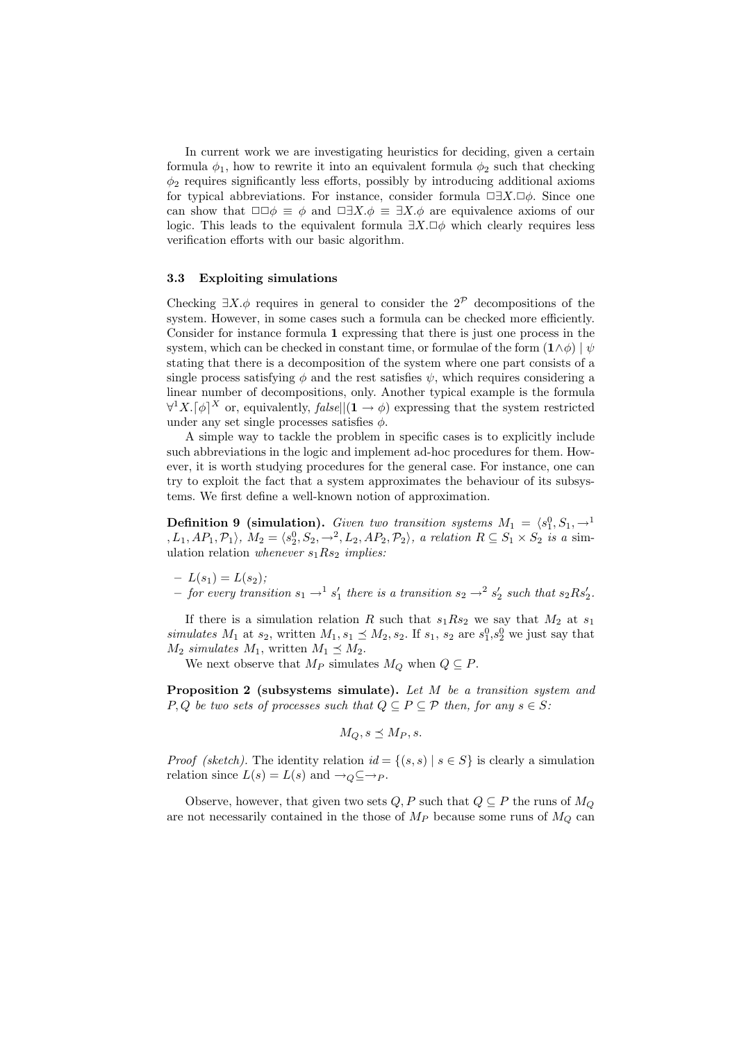In current work we are investigating heuristics for deciding, given a certain formula  $\phi_1$ , how to rewrite it into an equivalent formula  $\phi_2$  such that checking  $\phi_2$  requires significantly less efforts, possibly by introducing additional axioms for typical abbreviations. For instance, consider formula  $\Box \exists X.\Box \phi$ . Since one can show that  $\Box\Box\phi \equiv \phi$  and  $\Box\exists X.\phi \equiv \exists X.\phi$  are equivalence axioms of our logic. This leads to the equivalent formula  $\exists X.\Box\phi$  which clearly requires less verification efforts with our basic algorithm.

#### 3.3 Exploiting simulations

Checking  $\exists X.\phi$  requires in general to consider the  $2^{\mathcal{P}}$  decompositions of the system. However, in some cases such a formula can be checked more efficiently. Consider for instance formula 1 expressing that there is just one process in the system, which can be checked in constant time, or formulae of the form  $(1 \wedge \phi) | \psi$ stating that there is a decomposition of the system where one part consists of a single process satisfying  $\phi$  and the rest satisfies  $\psi$ , which requires considering a linear number of decompositions, only. Another typical example is the formula  $\forall^{1} X. [\phi]^{X}$  or, equivalently, false  $||(1 \rightarrow \phi)$  expressing that the system restricted under any set single processes satisfies  $\phi$ .

A simple way to tackle the problem in specific cases is to explicitly include such abbreviations in the logic and implement ad-hoc procedures for them. However, it is worth studying procedures for the general case. For instance, one can try to exploit the fact that a system approximates the behaviour of its subsystems. We first define a well-known notion of approximation.

**Definition 9 (simulation).** Given two transition systems  $M_1 = \langle s_1^0, S_1, \rightarrow^1 \rangle$  $\langle L_1, AP_1, \mathcal{P}_1 \rangle$ ,  $M_2 = \langle s_2^0, S_2, \rightarrow^2, L_2, AP_2, \mathcal{P}_2 \rangle$ , a relation  $R \subseteq S_1 \times S_2$  is a simulation relation whenever  $s_1Rs_2$  implies:

 $-L(s_1) = L(s_2);$ − for every transition  $s_1 \rightarrow^1 s'_1$  there is a transition  $s_2 \rightarrow^2 s'_2$  such that  $s_2 R s'_2$ .

If there is a simulation relation R such that  $s_1Rs_2$  we say that  $M_2$  at  $s_1$ simulates  $M_1$  at  $s_2$ , written  $M_1, s_1 \leq M_2, s_2$ . If  $s_1, s_2$  are  $s_1^0, s_2^0$  we just say that  $M_2$  simulates  $M_1$ , written  $M_1 \preceq M_2$ .

We next observe that  $M_P$  simulates  $M_Q$  when  $Q \subseteq P$ .

**Proposition 2** (subsystems simulate). Let M be a transition system and P, Q be two sets of processes such that  $Q \subseteq P \subseteq \mathcal{P}$  then, for any  $s \in S$ :

$$
M_Q, s \preceq M_P, s.
$$

*Proof (sketch)*. The identity relation  $id = \{(s, s) | s \in S\}$  is clearly a simulation relation since  $L(s) = L(s)$  and  $\rightarrow_Q \subseteq \rightarrow_P$ .

Observe, however, that given two sets  $Q, P$  such that  $Q \subseteq P$  the runs of  $M_Q$ are not necessarily contained in the those of  $M_P$  because some runs of  $M_Q$  can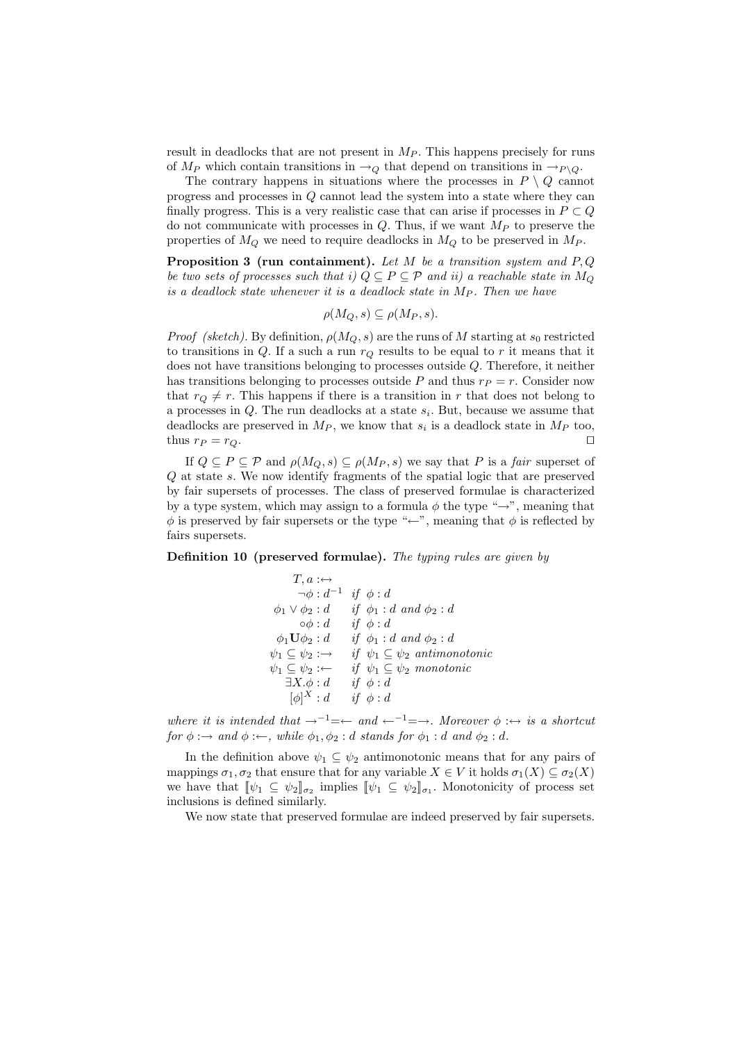result in deadlocks that are not present in  $M_P$ . This happens precisely for runs of  $M_P$  which contain transitions in  $\rightarrow_Q$  that depend on transitions in  $\rightarrow_{P \setminus Q}$ .

The contrary happens in situations where the processes in  $P \setminus Q$  cannot progress and processes in Q cannot lead the system into a state where they can finally progress. This is a very realistic case that can arise if processes in  $P \subset Q$ do not communicate with processes in  $Q$ . Thus, if we want  $M_P$  to preserve the properties of  $M_Q$  we need to require deadlocks in  $M_Q$  to be preserved in  $M_P$ .

**Proposition 3 (run containment).** Let  $M$  be a transition system and  $P, Q$ be two sets of processes such that i)  $Q \subseteq P \subseteq \mathcal{P}$  and ii) a reachable state in  $M_Q$ is a deadlock state whenever it is a deadlock state in  $M_P$ . Then we have

$$
\rho(M_Q, s) \subseteq \rho(M_P, s).
$$

*Proof (sketch)*. By definition,  $\rho(M_Q, s)$  are the runs of M starting at  $s_0$  restricted to transitions in  $Q$ . If a such a run  $r_Q$  results to be equal to r it means that it does not have transitions belonging to processes outside Q. Therefore, it neither has transitions belonging to processes outside P and thus  $r_P = r$ . Consider now that  $r_Q \neq r$ . This happens if there is a transition in r that does not belong to a processes in  $Q$ . The run deadlocks at a state  $s_i$ . But, because we assume that deadlocks are preserved in  $M_P$ , we know that  $s_i$  is a deadlock state in  $M_P$  too, thus  $r_P = r_Q$ .

If  $Q \subseteq P \subseteq \mathcal{P}$  and  $\rho(M_Q, s) \subseteq \rho(M_P, s)$  we say that P is a fair superset of Q at state s. We now identify fragments of the spatial logic that are preserved by fair supersets of processes. The class of preserved formulae is characterized by a type system, which may assign to a formula  $\phi$  the type " $\rightarrow$ ", meaning that  $\phi$  is preserved by fair supersets or the type "←", meaning that  $\phi$  is reflected by fairs supersets.

Definition 10 (preserved formulae). The typing rules are given by

```
T, a :\leftrightarrow\neg \phi : d^{-1} if \phi : d\phi_1 \vee \phi_2 : d \quad \textit{if } \phi_1 : d \textit{ and } \phi_2 : d\circ \phi : d \quad \textit{if } \phi : d\phi_1 \mathbf{U} \phi_2 : d \quad \textit{if } \phi_1 : d \textit{ and } \phi_2 : d\psi_1 \subseteq \psi_2 : \rightarrow if \psi_1 \subseteq \psi_2 antimonotonic
\psi_1 \subseteq \psi_2 : \leftarrow \quad \text{if } \psi_1 \subseteq \psi_2 \text{ monotonic}\exists X.\phi:d \quad \textit{if} \; \phi:d[\phi]^X : d \quad \textit{if} \; \phi : d
```
where it is intended that  $\rightarrow^{-1}=\leftarrow$  and  $\leftarrow^{-1}=\rightarrow$ . Moreover  $\phi:\leftrightarrow$  is a shortcut for  $\phi : \rightarrow$  and  $\phi : \leftarrow$ , while  $\phi_1, \phi_2 : d$  stands for  $\phi_1 : d$  and  $\phi_2 : d$ .

In the definition above  $\psi_1 \subseteq \psi_2$  antimonotonic means that for any pairs of mappings  $\sigma_1, \sigma_2$  that ensure that for any variable  $X \in V$  it holds  $\sigma_1(X) \subseteq \sigma_2(X)$ we have that  $[\![\psi_1 \subseteq \psi_2]\!]_{\sigma_2}$  implies  $[\![\psi_1 \subseteq \psi_2]\!]_{\sigma_1}$ . Monotonicity of process set inclusions is defined similarly.

We now state that preserved formulae are indeed preserved by fair supersets.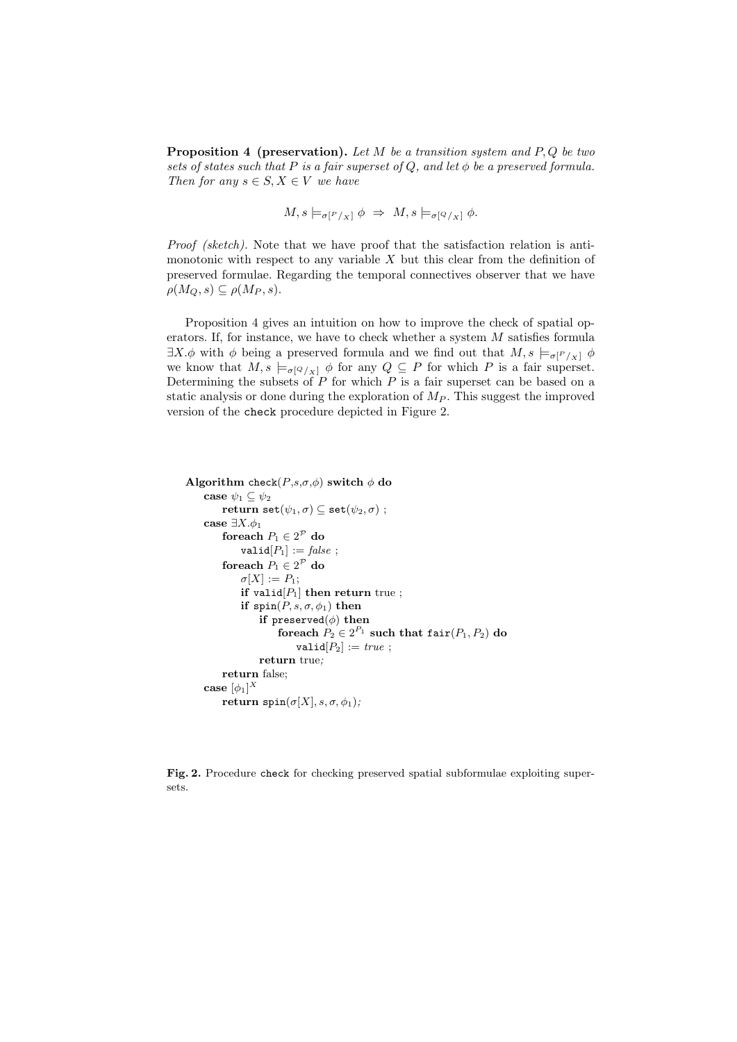**Proposition 4 (preservation).** Let M be a transition system and  $P, Q$  be two sets of states such that P is a fair superset of Q, and let  $\phi$  be a preserved formula. Then for any  $s \in S$ ,  $X \in V$  we have

$$
M, s \models_{\sigma[^{P}/X]} \phi \Rightarrow M, s \models_{\sigma[^{Q}/X]} \phi.
$$

Proof (sketch). Note that we have proof that the satisfaction relation is antimonotonic with respect to any variable  $X$  but this clear from the definition of preserved formulae. Regarding the temporal connectives observer that we have  $\rho(M_Q, s) \subseteq \rho(M_P, s).$ 

Proposition 4 gives an intuition on how to improve the check of spatial operators. If, for instance, we have to check whether a system M satisfies formula  $\exists X.\phi$  with  $\phi$  being a preserved formula and we find out that  $M, s \models_{\sigma[P/X]} \phi$ we know that  $M, s \models_{\sigma[Q/x]} \phi$  for any  $Q \subseteq P$  for which P is a fair superset. Determining the subsets of  $P$  for which  $P$  is a fair superset can be based on a static analysis or done during the exploration of  $M_P$ . This suggest the improved version of the check procedure depicted in Figure 2.

```
Algorithm check(P, s, \sigma, \phi) switch \phi do
     case \psi_1 \subset \psi_2return set(\psi_1, \sigma) \subseteq \mathtt{set}(\psi_2, \sigma);
     case \exists X.\phi_1foreach P_1 \in 2^{\mathcal{P}} do
               \texttt{valid}[P_1] := \textit{false};
           foreach P_1 \in 2^{\mathcal{P}} do
               \sigma[X] := P_1;if valid[P_1] then return true;
               if \text{spin}(P, s, \sigma, \phi_1) then
                     if preserved(\phi) then
                           foreach P_2 \in 2^{P_1} such that fair(P_1, P_2) do
                               valid[P_2] := true;
                     return true;
          return false;
     \textbf{case} \ [\phi_1]^Xreturn spin(\sigma[X], s, \sigma, \phi_1);
```
Fig. 2. Procedure check for checking preserved spatial subformulae exploiting supersets.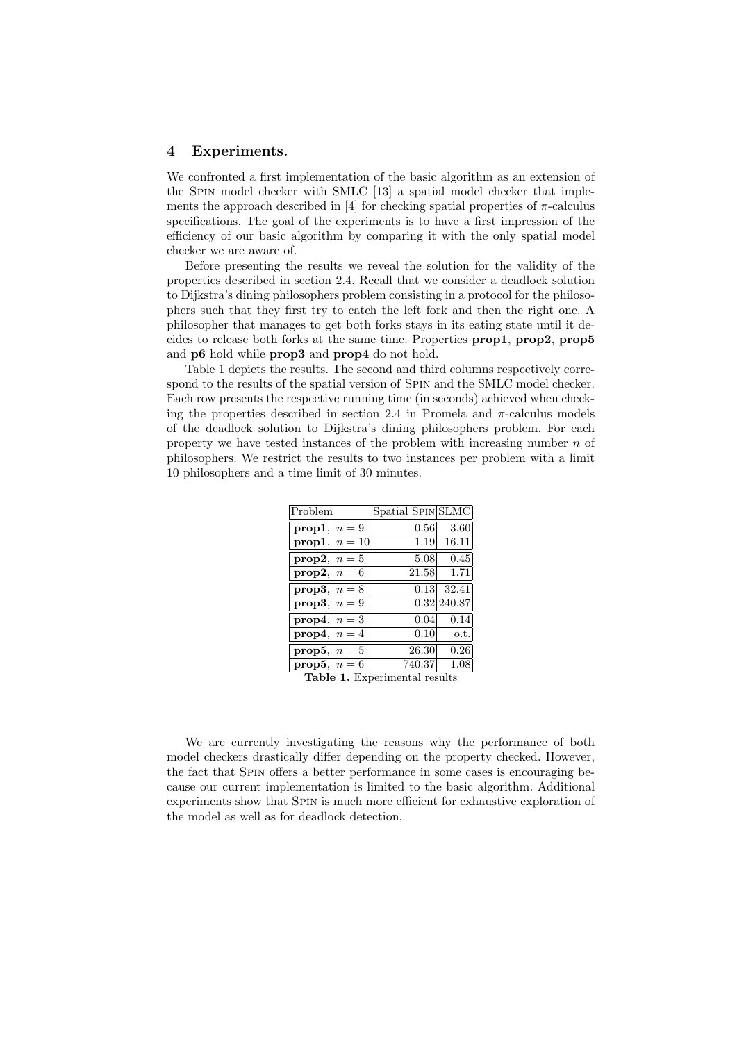## 4 Experiments.

We confronted a first implementation of the basic algorithm as an extension of the Spin model checker with SMLC [13] a spatial model checker that implements the approach described in [4] for checking spatial properties of  $\pi$ -calculus specifications. The goal of the experiments is to have a first impression of the efficiency of our basic algorithm by comparing it with the only spatial model checker we are aware of.

Before presenting the results we reveal the solution for the validity of the properties described in section 2.4. Recall that we consider a deadlock solution to Dijkstra's dining philosophers problem consisting in a protocol for the philosophers such that they first try to catch the left fork and then the right one. A philosopher that manages to get both forks stays in its eating state until it decides to release both forks at the same time. Properties prop1, prop2, prop5 and p6 hold while prop3 and prop4 do not hold.

Table 1 depicts the results. The second and third columns respectively correspond to the results of the spatial version of SPIN and the SMLC model checker. Each row presents the respective running time (in seconds) achieved when checking the properties described in section 2.4 in Promela and  $\pi$ -calculus models of the deadlock solution to Dijkstra's dining philosophers problem. For each property we have tested instances of the problem with increasing number  $n$  of philosophers. We restrict the results to two instances per problem with a limit 10 philosophers and a time limit of 30 minutes.

| Problem                  | Spatial SPIN SLMC |             |  |  |
|--------------------------|-------------------|-------------|--|--|
| prop1, $n=9$             | 0.56              | 3.60        |  |  |
| prop1, $n = 10$          | 1.19              | 16.11       |  |  |
| prop2, $n=5$             | 5.08              | 0.45        |  |  |
| prop2, $n=6$             | 21.58             | 1.71        |  |  |
| prop3, $n=8$             | 0.13              | 32.41       |  |  |
| prop3, $n=9$             |                   | 0.32 240.87 |  |  |
| prop4, $n=3$             | 0.04              | 0.14        |  |  |
| prop4, $n=4$             | 0.10              | o.t.        |  |  |
| prop5, $n=5$             | 26.30             | 0.26        |  |  |
| prop5, $n=6$             | 740.37            | 1.08        |  |  |
| m 11 1 m<br>$\mathbf{1}$ |                   |             |  |  |

Table 1. Experimental results

We are currently investigating the reasons why the performance of both model checkers drastically differ depending on the property checked. However, the fact that Spin offers a better performance in some cases is encouraging because our current implementation is limited to the basic algorithm. Additional experiments show that Spin is much more efficient for exhaustive exploration of the model as well as for deadlock detection.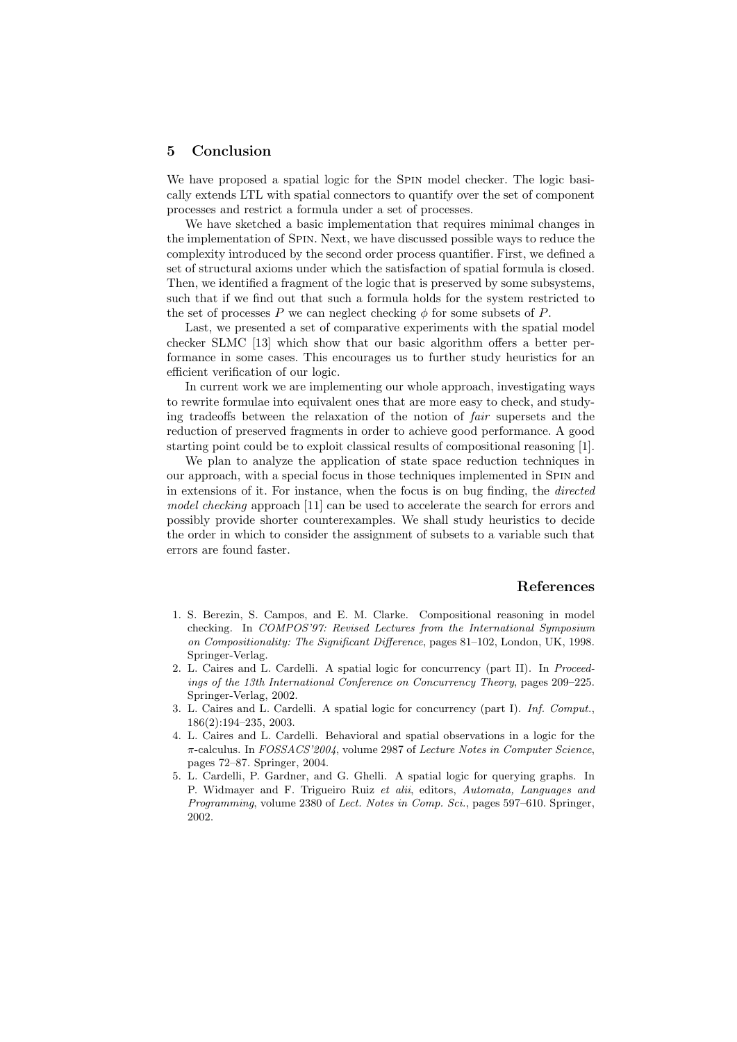## 5 Conclusion

We have proposed a spatial logic for the Spin model checker. The logic basically extends LTL with spatial connectors to quantify over the set of component processes and restrict a formula under a set of processes.

We have sketched a basic implementation that requires minimal changes in the implementation of Spin. Next, we have discussed possible ways to reduce the complexity introduced by the second order process quantifier. First, we defined a set of structural axioms under which the satisfaction of spatial formula is closed. Then, we identified a fragment of the logic that is preserved by some subsystems, such that if we find out that such a formula holds for the system restricted to the set of processes P we can neglect checking  $\phi$  for some subsets of P.

Last, we presented a set of comparative experiments with the spatial model checker SLMC [13] which show that our basic algorithm offers a better performance in some cases. This encourages us to further study heuristics for an efficient verification of our logic.

In current work we are implementing our whole approach, investigating ways to rewrite formulae into equivalent ones that are more easy to check, and studying tradeoffs between the relaxation of the notion of fair supersets and the reduction of preserved fragments in order to achieve good performance. A good starting point could be to exploit classical results of compositional reasoning [1].

We plan to analyze the application of state space reduction techniques in our approach, with a special focus in those techniques implemented in Spin and in extensions of it. For instance, when the focus is on bug finding, the directed model checking approach [11] can be used to accelerate the search for errors and possibly provide shorter counterexamples. We shall study heuristics to decide the order in which to consider the assignment of subsets to a variable such that errors are found faster.

# References

- 1. S. Berezin, S. Campos, and E. M. Clarke. Compositional reasoning in model checking. In COMPOS'97: Revised Lectures from the International Symposium on Compositionality: The Significant Difference, pages 81–102, London, UK, 1998. Springer-Verlag.
- 2. L. Caires and L. Cardelli. A spatial logic for concurrency (part II). In Proceedings of the 13th International Conference on Concurrency Theory, pages 209–225. Springer-Verlag, 2002.
- 3. L. Caires and L. Cardelli. A spatial logic for concurrency (part I). Inf. Comput., 186(2):194–235, 2003.
- 4. L. Caires and L. Cardelli. Behavioral and spatial observations in a logic for the π-calculus. In FOSSACS'2004, volume 2987 of Lecture Notes in Computer Science, pages 72–87. Springer, 2004.
- 5. L. Cardelli, P. Gardner, and G. Ghelli. A spatial logic for querying graphs. In P. Widmayer and F. Trigueiro Ruiz et alii, editors, Automata, Languages and Programming, volume 2380 of Lect. Notes in Comp. Sci., pages 597–610. Springer, 2002.